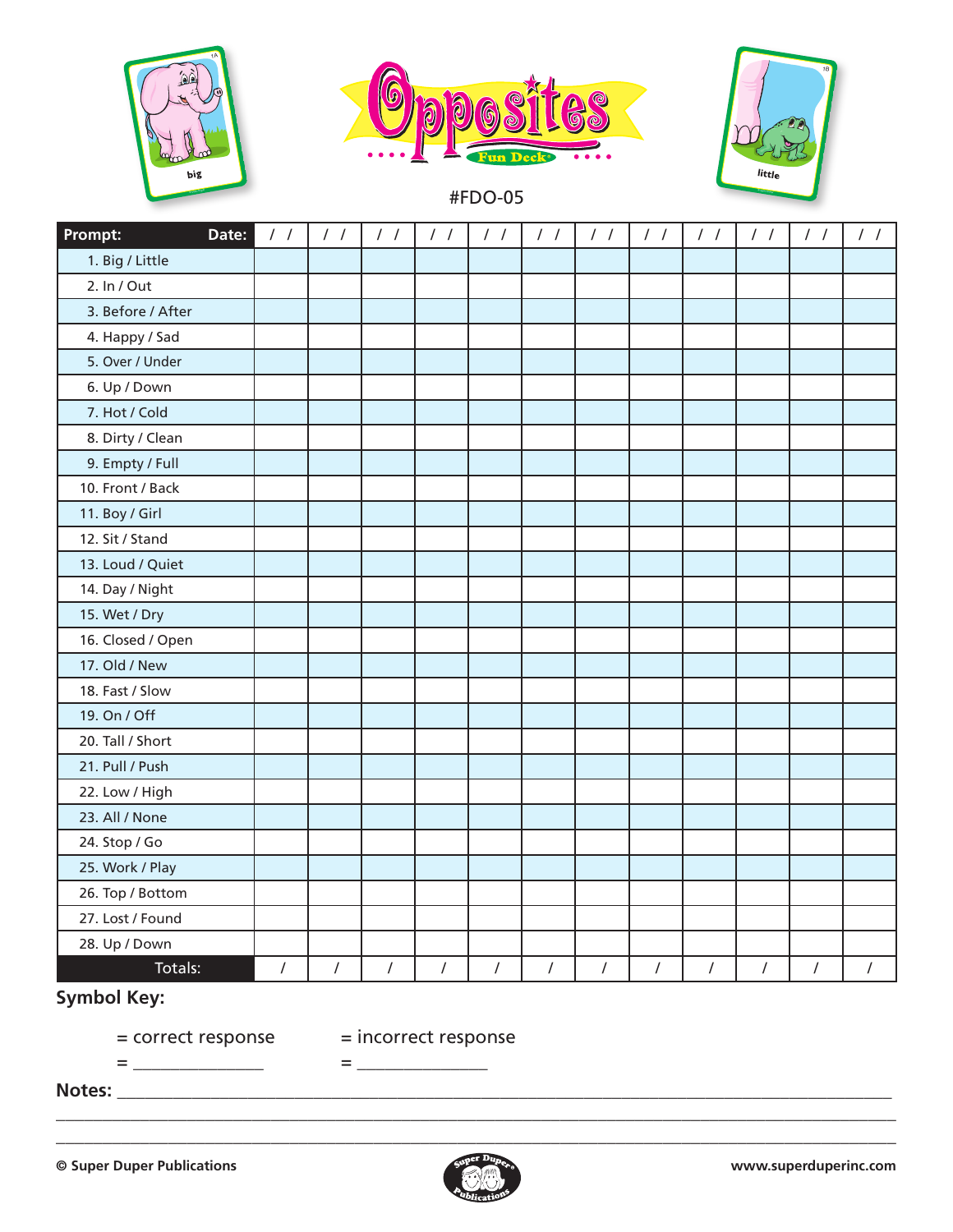





#FDO-05

| Date:<br>Prompt:  | $\frac{1}{2}$ |                | 1111           | $\frac{1}{2}$  | $\frac{1}{2}$  | 11<br>Т        | $\frac{1}{2}$  | $\frac{1}{2}$  | $\frac{1}{2}$  |                | 1111           | $\frac{1}{2}$ |
|-------------------|---------------|----------------|----------------|----------------|----------------|----------------|----------------|----------------|----------------|----------------|----------------|---------------|
| 1. Big / Little   |               |                |                |                |                |                |                |                |                |                |                |               |
| 2. In / Out       |               |                |                |                |                |                |                |                |                |                |                |               |
| 3. Before / After |               |                |                |                |                |                |                |                |                |                |                |               |
| 4. Happy / Sad    |               |                |                |                |                |                |                |                |                |                |                |               |
| 5. Over / Under   |               |                |                |                |                |                |                |                |                |                |                |               |
| 6. Up / Down      |               |                |                |                |                |                |                |                |                |                |                |               |
| 7. Hot / Cold     |               |                |                |                |                |                |                |                |                |                |                |               |
| 8. Dirty / Clean  |               |                |                |                |                |                |                |                |                |                |                |               |
| 9. Empty / Full   |               |                |                |                |                |                |                |                |                |                |                |               |
| 10. Front / Back  |               |                |                |                |                |                |                |                |                |                |                |               |
| 11. Boy / Girl    |               |                |                |                |                |                |                |                |                |                |                |               |
| 12. Sit / Stand   |               |                |                |                |                |                |                |                |                |                |                |               |
| 13. Loud / Quiet  |               |                |                |                |                |                |                |                |                |                |                |               |
| 14. Day / Night   |               |                |                |                |                |                |                |                |                |                |                |               |
| 15. Wet / Dry     |               |                |                |                |                |                |                |                |                |                |                |               |
| 16. Closed / Open |               |                |                |                |                |                |                |                |                |                |                |               |
| 17. Old / New     |               |                |                |                |                |                |                |                |                |                |                |               |
| 18. Fast / Slow   |               |                |                |                |                |                |                |                |                |                |                |               |
| 19. On / Off      |               |                |                |                |                |                |                |                |                |                |                |               |
| 20. Tall / Short  |               |                |                |                |                |                |                |                |                |                |                |               |
| 21. Pull / Push   |               |                |                |                |                |                |                |                |                |                |                |               |
| 22. Low / High    |               |                |                |                |                |                |                |                |                |                |                |               |
| 23. All / None    |               |                |                |                |                |                |                |                |                |                |                |               |
| 24. Stop / Go     |               |                |                |                |                |                |                |                |                |                |                |               |
| 25. Work / Play   |               |                |                |                |                |                |                |                |                |                |                |               |
| 26. Top / Bottom  |               |                |                |                |                |                |                |                |                |                |                |               |
| 27. Lost / Found  |               |                |                |                |                |                |                |                |                |                |                |               |
| 28. Up / Down     |               |                |                |                |                |                |                |                |                |                |                |               |
| Totals:           | $\prime$      | $\overline{I}$ | $\overline{1}$ | $\overline{I}$ | $\overline{I}$ | $\overline{I}$ | $\overline{1}$ | $\overline{I}$ | $\overline{1}$ | $\overline{I}$ | $\overline{1}$ | $\sqrt{ }$    |

## **Symbol Key:**

= \_\_\_\_\_\_\_\_\_\_\_\_\_\_ = \_\_\_\_\_\_\_\_\_\_\_\_\_\_

= correct response = incorrect response

**Notes:** \_\_\_\_\_\_\_\_\_\_\_\_\_\_\_\_\_\_\_\_\_\_\_\_\_\_\_\_\_\_\_\_\_\_\_\_\_\_\_\_\_\_\_\_\_\_\_\_\_\_\_\_\_\_\_\_\_\_\_\_\_\_\_\_\_\_\_\_\_\_\_\_\_\_\_\_\_\_\_\_\_\_\_



\_\_\_\_\_\_\_\_\_\_\_\_\_\_\_\_\_\_\_\_\_\_\_\_\_\_\_\_\_\_\_\_\_\_\_\_\_\_\_\_\_\_\_\_\_\_\_\_\_\_\_\_\_\_\_\_\_\_\_\_\_\_\_\_\_\_\_\_\_\_\_\_\_\_\_\_\_\_\_\_\_\_\_\_\_\_\_\_\_\_ \_\_\_\_\_\_\_\_\_\_\_\_\_\_\_\_\_\_\_\_\_\_\_\_\_\_\_\_\_\_\_\_\_\_\_\_\_\_\_\_\_\_\_\_\_\_\_\_\_\_\_\_\_\_\_\_\_\_\_\_\_\_\_\_\_\_\_\_\_\_\_\_\_\_\_\_\_\_\_\_\_\_\_\_\_\_\_\_\_\_